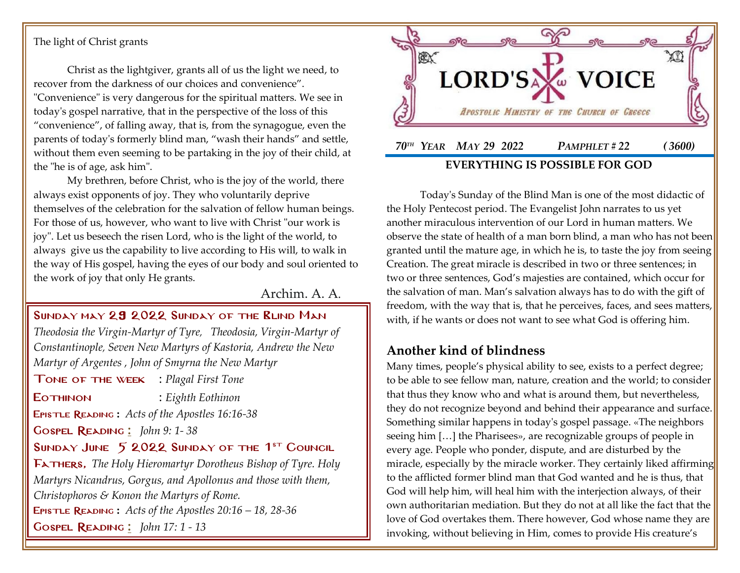## The light of Christ grants

Christ as the lightgiver, grants all of us the light we need, to recover from the darkness of our choices and convenience". "Convenience" is very dangerous for the spiritual matters. We see in today's gospel narrative, that in the perspective of the loss of this "convenience", of falling away, that is, from the synagogue, even the parents of today's formerly blind man, "wash their hands" and settle, without them even seeming to be partaking in the joy of their child, at the "he is of age, ask him".

My brethren, before Christ, who is the joy of the world, there always exist opponents of joy. They who voluntarily deprive themselves of the celebration for the salvation of fellow human beings. For those of us, however, who want to live with Christ "our work is joy". Let us beseech the risen Lord, who is the light of the world, to always give us the capability to live according to His will, to walk in the way of His gospel, having the eyes of our body and soul oriented to the work of joy that only He grants.

Archim. A. A.

## SUNDAY MAY 29 2022 SUNDAY OF THE RLIND MAN

*[Theodosia the Virgin-Martyr of Tyre](http://www.goarch.org/chapel/saints?contentid=70), [Theodosia, Virgin-Martyr of](http://www.goarch.org/chapel/saints?contentid=553)  [Constantinople](http://www.goarch.org/chapel/saints?contentid=553), Seven New Martyrs of Kastoria, Andrew the New Martyr of Argentes , John of Smyrna the New Martyr*

Tone of the week : *Plagal First Tone*

Eothinon : *Eighth Eothinon*

Epistle Reading **:** *[Acts of the Apostles 16:16-38](http://www.goarch.org/chapel/lectionary?type=E&code=353&event=44&date=05/08/2022)*

Gospel Reading **[:](http://www.goarch.org/chapel/lectionary?type=G&code=362&event=218)** *[John 9:](http://www.goarch.org/chapel/lectionary?type=G&code=300&event=900) 1- 38*

SUNDAY JUNE 5 2022 SUNDAY OF THE 1ST COUNCIL

Fathers, *The Holy Hieromartyr Dorotheus Bishop of Tyre. Holy Martyrs Nicandrus, Gorgus, and Apollonus and those with them, Christophoros & Konon the Martyrs of Rome.* Epistle Reading **:** *[Acts of the Apostles 20:16](http://www.goarch.org/chapel/lectionary?type=E&code=353&event=44&date=05/08/2022) – 18, 28-36*

Gospel Reading **[:](http://www.goarch.org/chapel/lectionary?type=G&code=362&event=218)** *[John 17:](http://www.goarch.org/chapel/lectionary?type=G&code=300&event=900) 1 - 13*

**RAY** LORD'S **VOICE** APOSTOLIC MINISTRY OF THE CHURCH OF GREECE  *70TH YEAR MAY 29 2022 PAMPHLET # 22 ( 3600)*  **EVERYTHING IS POSSIBLE FOR GOD**

Today's Sunday of the Blind Man is one of the most didactic of the Holy Pentecost period. The Evangelist John narrates to us yet another miraculous intervention of our Lord in human matters. We observe the state of health of a man born blind, a man who has not been granted until the mature age, in which he is, to taste the joy from seeing Creation. The great miracle is described in two or three sentences; in two or three sentences, God's majesties are contained, which occur for the salvation of man. Man's salvation always has to do with the gift of freedom, with the way that is, that he perceives, faces, and sees matters, with, if he wants or does not want to see what God is offering him.

## **Another kind of blindness**

Many times, people's physical ability to see, exists to a perfect degree; to be able to see fellow man, nature, creation and the world; to consider that thus they know who and what is around them, but nevertheless, they do not recognize beyond and behind their appearance and surface. Something similar happens in today's gospel passage. «The neighbors seeing him […] the Pharisees», are recognizable groups of people in every age. People who ponder, dispute, and are disturbed by the miracle, especially by the miracle worker. They certainly liked affirming to the afflicted former blind man that God wanted and he is thus, that God will help him, will heal him with the interjection always, of their own authoritarian mediation. But they do not at all like the fact that the love of God overtakes them. There however, God whose name they are invoking, without believing in Him, comes to provide His creature's